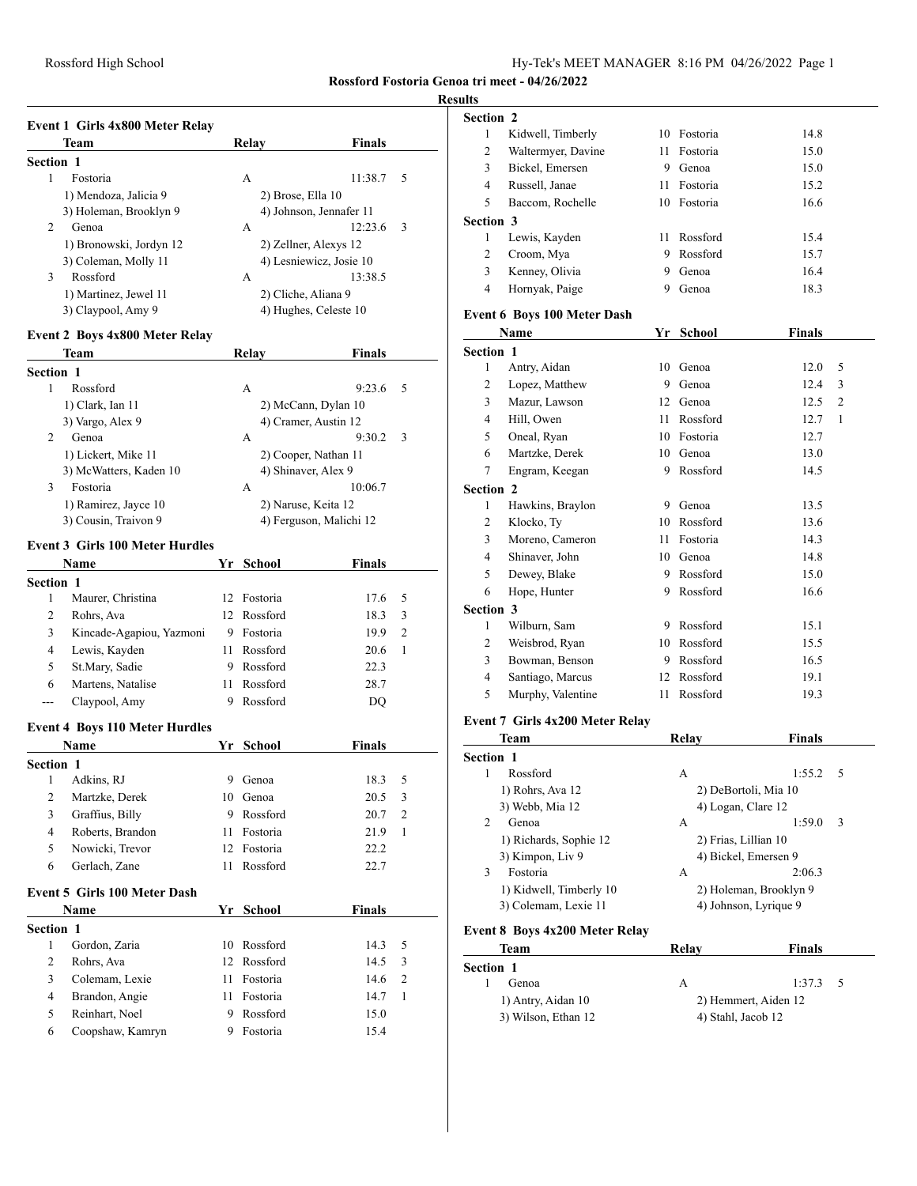# **Resu**

|                  | Team                    | Relay             | <b>Finals</b>           |
|------------------|-------------------------|-------------------|-------------------------|
| <b>Section 1</b> |                         |                   |                         |
| 1                | Fostoria                | A                 | 11:38.7<br>- 5          |
|                  | 1) Mendoza, Jalicia 9   | 2) Brose, Ella 10 |                         |
|                  | 3) Holeman, Brooklyn 9  |                   | 4) Johnson, Jennafer 11 |
| 2                | Genoa                   | А                 | 12:23.6<br>-3           |
|                  | 1) Bronowski, Jordyn 12 |                   | 2) Zellner, Alexys 12   |
|                  | 3) Coleman, Molly 11    |                   | 4) Lesniewicz, Josie 10 |
| 3                | Rossford                | A                 | 13:38.5                 |
|                  | 1) Martinez, Jewel 11   |                   | 2) Cliche, Aliana 9     |
|                  | 3) Claypool, Amy 9      |                   | 4) Hughes, Celeste 10   |

### **Event 2 Boys 4x800 Meter Relay**

| Team                   | Relay               | <b>Finals</b>           |
|------------------------|---------------------|-------------------------|
| <b>Section 1</b>       |                     |                         |
| Rossford               | А                   | 9:23.6<br>-5            |
| 1) Clark, Ian 11       |                     | 2) McCann, Dylan 10     |
| 3) Vargo, Alex 9       |                     | 4) Cramer, Austin 12    |
| 2<br>Genoa             | А                   | 9:30.2<br>- 3           |
| 1) Lickert, Mike 11    |                     | 2) Cooper, Nathan 11    |
| 3) McWatters, Kaden 10 | 4) Shinaver, Alex 9 |                         |
| 3<br>Fostoria          | А                   | 10:06.7                 |
| 1) Ramirez, Jayce 10   | 2) Naruse, Keita 12 |                         |
| 3) Cousin, Traivon 9   |                     | 4) Ferguson, Malichi 12 |

#### **Event 3 Girls 100 Meter Hurdles**

| <b>Name</b>      |                          | Yr  | School      | <b>Finals</b> |               |  |
|------------------|--------------------------|-----|-------------|---------------|---------------|--|
| <b>Section 1</b> |                          |     |             |               |               |  |
|                  | Maurer, Christina        | 12. | Fostoria    | 17.6          | - 5           |  |
| 2                | Rohrs, Ava               |     | 12 Rossford | 18.3          | 3             |  |
| 3                | Kincade-Agapiou, Yazmoni | 9   | Fostoria    | 19.9          | $\mathcal{L}$ |  |
| 4                | Lewis, Kayden            | 11  | Rossford    | 20.6          |               |  |
| 5.               | St.Mary, Sadie           | 9   | Rossford    | 22.3          |               |  |
| 6                | Martens, Natalise        | 11  | Rossford    | 28.7          |               |  |
| ---              | Claypool, Amy            | 9   | Rossford    | DO            |               |  |

#### **Event 4 Boys 110 Meter Hurdles**

| <b>Name</b>      |                  | <b>Finals</b><br>Yr School |          |      |     |
|------------------|------------------|----------------------------|----------|------|-----|
| <b>Section 1</b> |                  |                            |          |      |     |
|                  | Adkins, RJ       | 9                          | Genoa    | 18.3 | - 5 |
| 2                | Martzke, Derek   | 10                         | Genoa    | 20.5 | -3  |
| 3                | Graffius, Billy  | 9                          | Rossford | 20.7 | 2   |
| 4                | Roberts, Brandon | 11                         | Fostoria | 21.9 |     |
| 5                | Nowicki, Trevor  | 12.                        | Fostoria | 22.2 |     |
| 6                | Gerlach, Zane    | 11                         | Rossford | 22.7 |     |

#### **Event 5 Girls 100 Meter Dash**

| <b>Name</b>      |                  |     | Yr School   | <b>Finals</b> |     |
|------------------|------------------|-----|-------------|---------------|-----|
| <b>Section 1</b> |                  |     |             |               |     |
|                  | Gordon, Zaria    |     | 10 Rossford | 14.3          | - 5 |
|                  | Rohrs, Ava       |     | 12 Rossford | 14.5          | - 3 |
|                  | Colemam, Lexie   | 11. | Fostoria    | 14.6          | 2   |
| 4                | Brandon, Angie   | 11. | Fostoria    | 14.7          |     |
|                  | Reinhart, Noel   | 9   | Rossford    | 15.0          |     |
| 6                | Coopshaw, Kamryn | 9   | Fostoria    | 15.4          |     |
|                  |                  |     |             |               |     |

| ults             |                                    |      |                      |                        |                |
|------------------|------------------------------------|------|----------------------|------------------------|----------------|
| Section 2        |                                    |      |                      |                        |                |
| 1                | Kidwell, Timberly                  |      | 10 Fostoria          | 14.8                   |                |
| $\overline{2}$   | Waltermyer, Davine                 |      | 11 Fostoria          | 15.0                   |                |
| 3                | Bickel, Emersen                    |      | 9 Genoa              | 15.0                   |                |
| $\overline{4}$   | Russell, Janae                     | 11 - | Fostoria             | 15.2                   |                |
| 5                | Baccom, Rochelle                   |      | 10 Fostoria          | 16.6                   |                |
| <b>Section 3</b> |                                    |      |                      |                        |                |
| 1                | Lewis, Kayden                      |      | 11 Rossford          | 15.4                   |                |
| 2                | Croom, Mya                         |      | 9 Rossford           | 15.7                   |                |
| 3                | Kenney, Olivia                     |      | 9 Genoa              | 16.4                   |                |
| $\overline{4}$   | Hornyak, Paige                     |      | 9 Genoa              | 18.3                   |                |
|                  | <b>Event 6 Boys 100 Meter Dash</b> |      |                      |                        |                |
|                  | Name                               |      | Yr School            | <b>Finals</b>          |                |
| Section 1        |                                    |      |                      |                        |                |
| 1                | Antry, Aidan                       |      | 10 Genoa             | 12.0                   | 5              |
| 2                | Lopez, Matthew                     |      | 9 Genoa              | 12.4                   | 3              |
| 3                | Mazur, Lawson                      |      | 12 Genoa             | 12.5                   | $\overline{2}$ |
| 4                | Hill, Owen                         |      | 11 Rossford          | 12.7                   | 1              |
| 5                | Oneal, Ryan                        |      | 10 Fostoria          | 12.7                   |                |
| 6                | Martzke, Derek                     |      | 10 Genoa             | 13.0                   |                |
| 7                | Engram, Keegan                     |      | 9 Rossford           | 14.5                   |                |
| <b>Section 2</b> |                                    |      |                      |                        |                |
| 1                | Hawkins, Braylon                   |      | 9 Genoa              | 13.5                   |                |
| 2                | Klocko, Ty                         |      | 10 Rossford          | 13.6                   |                |
| 3                | Moreno, Cameron                    |      | 11 Fostoria          | 14.3                   |                |
| 4                | Shinaver, John                     |      | 10 Genoa             | 14.8                   |                |
| 5                | Dewey, Blake                       |      | 9 Rossford           | 15.0                   |                |
| 6                | Hope, Hunter                       |      | 9 Rossford           | 16.6                   |                |
| Section 3        |                                    |      |                      |                        |                |
| 1                | Wilburn, Sam                       |      | 9 Rossford           | 15.1                   |                |
| 2                | Weisbrod, Ryan                     |      | 10 Rossford          | 15.5                   |                |
| 3                | Bowman, Benson                     |      | 9 Rossford           | 16.5                   |                |
| 4                | Santiago, Marcus                   |      | 12 Rossford          | 19.1                   |                |
| 5                | Murphy, Valentine                  | 11   | Rossford             | 19.3                   |                |
|                  | Event 7 Girls 4x200 Meter Relay    |      |                      |                        |                |
|                  | Team                               |      | Relay                | <b>Finals</b>          |                |
| Section 1        |                                    |      |                      |                        |                |
| 1                | Rossford                           |      | А                    | 1:55.2                 | 5              |
|                  | 1) Rohrs, Ava 12                   |      |                      | 2) DeBortoli, Mia 10   |                |
|                  | 3) Webb, Mia 12                    |      | 4) Logan, Clare 12   |                        |                |
| 2                | Genoa                              |      | А                    | 1:59.0                 | 3              |
|                  | 1) Richards, Sophie 12             |      | 2) Frias, Lillian 10 |                        |                |
|                  | 3) Kimpon, Liv 9                   |      |                      | 4) Bickel, Emersen 9   |                |
| 3                | Fostoria                           |      | А                    | 2:06.3                 |                |
|                  | 1) Kidwell, Timberly 10            |      |                      | 2) Holeman, Brooklyn 9 |                |

| теаш                                      | кени                 | гинаіз                 |
|-------------------------------------------|----------------------|------------------------|
| Section 1                                 |                      |                        |
| Rossford<br>1                             | А                    | 1:55.2<br>- 5          |
| 1) Rohrs, Ava 12                          |                      | 2) DeBortoli, Mia 10   |
| 3) Webb, Mia 12                           | 4) Logan, Clare 12   |                        |
| 2<br>Genoa                                | А                    | 1:59.0<br>3            |
| 1) Richards, Sophie 12                    | 2) Frias, Lillian 10 |                        |
| 3) Kimpon, Liv 9                          |                      | 4) Bickel, Emersen 9   |
| 3<br>Fostoria                             | А                    | 2:06.3                 |
| 1) Kidwell, Timberly 10                   |                      | 2) Holeman, Brooklyn 9 |
| 3) Colemam, Lexie 11                      |                      | 4) Johnson, Lyrique 9  |
| $\sim$ $\sim$ $\sim$ $\sim$ $\sim$ $\sim$ |                      |                        |

### **Event 8 Boys 4x200 Meter Relay**

| Team                | Relav              | <b>Finals</b>        |
|---------------------|--------------------|----------------------|
| Section 1           |                    |                      |
| Genoa               | А                  | $1:37.3$ 5           |
| 1) Antry, Aidan 10  |                    | 2) Hemmert, Aiden 12 |
| 3) Wilson, Ethan 12 | 4) Stahl, Jacob 12 |                      |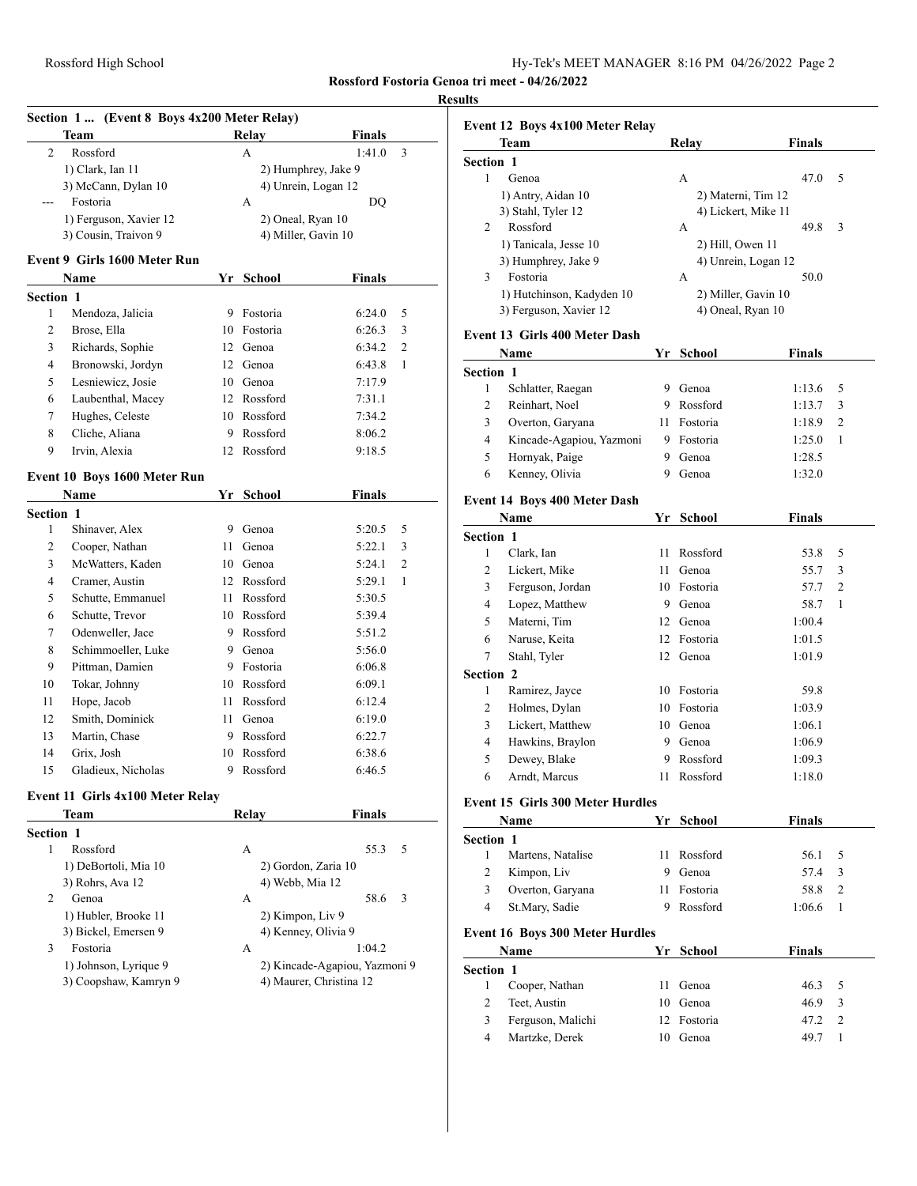|                  | Team                                     |      | Relay               | <b>Finals</b>                 |                |
|------------------|------------------------------------------|------|---------------------|-------------------------------|----------------|
| 2                | Rossford                                 |      | А                   | 1:41.0                        | 3              |
|                  | 1) Clark, Ian 11                         |      | 2) Humphrey, Jake 9 |                               |                |
|                  | 3) McCann, Dylan 10                      |      | 4) Unrein, Logan 12 |                               |                |
|                  | Fostoria                                 |      | A                   | DQ                            |                |
|                  | 1) Ferguson, Xavier 12                   |      | 2) Oneal, Ryan 10   |                               |                |
|                  | 3) Cousin, Traivon 9                     |      | 4) Miller, Gavin 10 |                               |                |
|                  | Event 9 Girls 1600 Meter Run             |      |                     |                               |                |
|                  | Name                                     |      | Yr School           | Finals                        |                |
| <b>Section 1</b> |                                          |      |                     |                               |                |
| 1                | Mendoza, Jalicia                         |      | 9 Fostoria          | 6:24.0                        | 5              |
| 2                | Brose, Ella                              |      | 10 Fostoria         | 6:26.3                        | 3              |
| 3                | Richards, Sophie                         |      | 12 Genoa            | 6:34.2                        | $\overline{c}$ |
| 4                | Bronowski, Jordyn                        |      | 12 Genoa            | 6:43.8                        | 1              |
| 5                | Lesniewicz, Josie                        |      | 10 Genoa            | 7:17.9                        |                |
| 6                | Laubenthal, Macey                        |      | 12 Rossford         | 7:31.1                        |                |
| 7                | Hughes, Celeste                          |      | 10 Rossford         | 7:34.2                        |                |
| 8                | Cliche, Aliana                           | 9    | Rossford            | 8:06.2                        |                |
| 9                | Irvin, Alexia                            |      | 12 Rossford         | 9:18.5                        |                |
|                  | Event 10 Boys 1600 Meter Run             |      |                     |                               |                |
|                  | <b>Name</b>                              |      | Yr School           | <b>Finals</b>                 |                |
| Section 1        |                                          |      |                     |                               |                |
| 1                | Shinaver, Alex                           | 9    | Genoa               | 5:20.5                        | 5              |
| 2                | Cooper, Nathan                           | 11   | Genoa               | 5:22.1                        | 3              |
| 3                | McWatters, Kaden                         |      | 10 Genoa            | 5:24.1                        | $\overline{c}$ |
| 4                | Cramer, Austin                           |      | 12 Rossford         | 5:29.1                        | 1              |
| 5                | Schutte, Emmanuel                        | 11   | Rossford            | 5:30.5                        |                |
| 6                | Schutte, Trevor                          |      | 10 Rossford         | 5:39.4                        |                |
| 7                | Odenweller, Jace                         |      | 9 Rossford          | 5:51.2                        |                |
| 8                | Schimmoeller, Luke                       | 9    | Genoa               | 5:56.0                        |                |
| 9                | Pittman, Damien                          |      | 9 Fostoria          | 6:06.8                        |                |
| 10               | Tokar, Johnny                            |      | 10 Rossford         | 6:09.1                        |                |
| 11               | Hope, Jacob                              | 11 - | Rossford            | 6:12.4                        |                |
| 12               | Smith, Dominick                          | 11 - | Genoa               | 6:19.0                        |                |
| 13               | Martin, Chase                            | 9    | Rossford            | 6:22.7                        |                |
| 14               | Grix, Josh                               | 10   | Rossford            | 6:38.6                        |                |
| 15               | Gladieux, Nicholas                       | 9    | Rossford            | 6:46.5                        |                |
|                  |                                          |      |                     |                               |                |
|                  | Event 11 Girls 4x100 Meter Relay<br>Team |      | Relay               | <b>Finals</b>                 |                |
| Section 1        |                                          |      |                     |                               |                |
| 1                | Rossford                                 |      | А                   | 55.3                          | 5              |
|                  | 1) DeBortoli, Mia 10                     |      | 2) Gordon, Zaria 10 |                               |                |
|                  | 3) Rohrs, Ava 12                         |      | 4) Webb, Mia 12     |                               |                |
| 2                | Genoa                                    |      | А                   | 58.6                          | 3              |
|                  | 1) Hubler, Brooke 11                     |      | 2) Kimpon, Liv 9    |                               |                |
|                  | 3) Bickel, Emersen 9                     |      | 4) Kenney, Olivia 9 |                               |                |
| 3                | Fostoria                                 |      | А                   | 1:04.2                        |                |
|                  | 1) Johnson, Lyrique 9                    |      |                     | 2) Kincade-Agapiou, Yazmoni 9 |                |
|                  |                                          |      |                     | 4) Maurer, Christina 12       |                |

|                       | <b>Event 12 Boys 4x100 Meter Relay</b>              |    |                                          |               |                |
|-----------------------|-----------------------------------------------------|----|------------------------------------------|---------------|----------------|
|                       | Team                                                |    | Relay                                    | <b>Finals</b> |                |
| <b>Section 1</b>      |                                                     |    |                                          |               |                |
| 1                     | Genoa                                               |    | А                                        | 47.0          | 5              |
|                       | 1) Antry, Aidan 10                                  |    | 2) Materni, Tim 12                       |               |                |
|                       | 3) Stahl, Tyler 12                                  |    | 4) Lickert, Mike 11                      |               |                |
| 2                     | Rossford                                            |    | A                                        | 49.8          | 3              |
|                       | 1) Tanicala, Jesse 10                               |    | 2) Hill, Owen 11                         |               |                |
|                       | 3) Humphrey, Jake 9                                 |    | 4) Unrein, Logan 12                      |               |                |
| 3                     | Fostoria                                            |    | A                                        | 50.0          |                |
|                       | 1) Hutchinson, Kadyden 10<br>3) Ferguson, Xavier 12 |    | 2) Miller, Gavin 10<br>4) Oneal, Ryan 10 |               |                |
|                       | <b>Event 13 Girls 400 Meter Dash</b>                |    |                                          |               |                |
|                       | Name                                                |    | Yr School                                | <b>Finals</b> |                |
| Section 1             |                                                     |    |                                          |               |                |
| 1                     | Schlatter, Raegan                                   | 9  | Genoa                                    | 1:13.6        | 5              |
| 2                     | Reinhart, Noel                                      | 9. | Rossford                                 | 1:13.7        | 3              |
| 3                     | Overton, Garyana                                    | 11 | Fostoria                                 | 1:18.9        | 2              |
| 4                     | Kincade-Agapiou, Yazmoni                            |    | 9 Fostoria                               | 1:25.0        | 1              |
| 5                     | Hornyak, Paige                                      | 9. | Genoa                                    | 1:28.5        |                |
| 6                     | Kenney, Olivia                                      | 9  | Genoa                                    | 1:32.0        |                |
|                       | <b>Event 14 Boys 400 Meter Dash</b>                 |    |                                          |               |                |
|                       | Name                                                | Yr | School                                   | <b>Finals</b> |                |
| Section 1             |                                                     |    |                                          |               |                |
| 1                     | Clark, Ian                                          | 11 | Rossford                                 | 53.8          | 5              |
| 2                     | Lickert, Mike                                       | 11 | Genoa                                    | 55.7          | 3              |
| 3                     | Ferguson, Jordan                                    |    | 10 Fostoria                              | 57.7          | 2              |
| 4                     | Lopez, Matthew                                      | 9. | Genoa                                    | 58.7          | 1              |
| 5                     | Materni, Tim                                        | 12 | Genoa                                    | 1:00.4        |                |
| 6                     | Naruse, Keita                                       | 12 | Fostoria                                 | 1:01.5        |                |
| 7                     | Stahl, Tyler                                        | 12 | Genoa                                    | 1:01.9        |                |
| <b>Section 2</b>      |                                                     |    |                                          |               |                |
| 1                     | Ramirez, Jayce                                      | 10 | Fostoria                                 | 59.8          |                |
| 2                     | Holmes, Dylan                                       |    | 10 Fostoria                              | 1:03.9        |                |
| 3                     | Lickert, Matthew                                    |    | 10 Genoa                                 | 1:06.1        |                |
| 4                     | Hawkins, Braylon                                    |    | 9 Genoa                                  | 1:06.9        |                |
| 5                     | Dewey, Blake                                        | 9  | Rossford                                 | 1:09.3        |                |
| 6                     | Arndt, Marcus                                       | 11 | Rossford                                 | 1:18.0        |                |
|                       | <b>Event 15 Girls 300 Meter Hurdles</b>             |    |                                          |               |                |
|                       | Name                                                |    | Yr School                                | Finals        |                |
| <b>Section 1</b>      |                                                     |    |                                          |               |                |
| 1                     | Martens, Natalise                                   | 11 | Rossford                                 | 56.1          | 5              |
| 2                     | Kimpon, Liv                                         | 9  | Genoa                                    | 57.4          | 3              |
| 3                     | Overton, Garyana                                    | 11 | Fostoria                                 | 58.8          | 2              |
| $\overline{4}$        | St.Mary, Sadie                                      | 9  | Rossford                                 | 1:06.6        | 1              |
|                       | <b>Event 16 Boys 300 Meter Hurdles</b><br>Name      | Yr | <b>School</b>                            |               |                |
|                       |                                                     |    |                                          | Finals        |                |
| <b>Section 1</b><br>1 | Cooper, Nathan                                      | 11 | Genoa                                    | 46.3          | 5              |
| 2                     | Teet, Austin                                        |    | 10 Genoa                                 | 46.9          | 3              |
|                       |                                                     |    |                                          |               | $\overline{c}$ |
| 3<br>$\overline{4}$   | Ferguson, Malichi                                   |    | 12 Fostoria                              | 47.2          | 1              |
|                       | Martzke, Derek                                      |    | 10 Genoa                                 | 49.7          |                |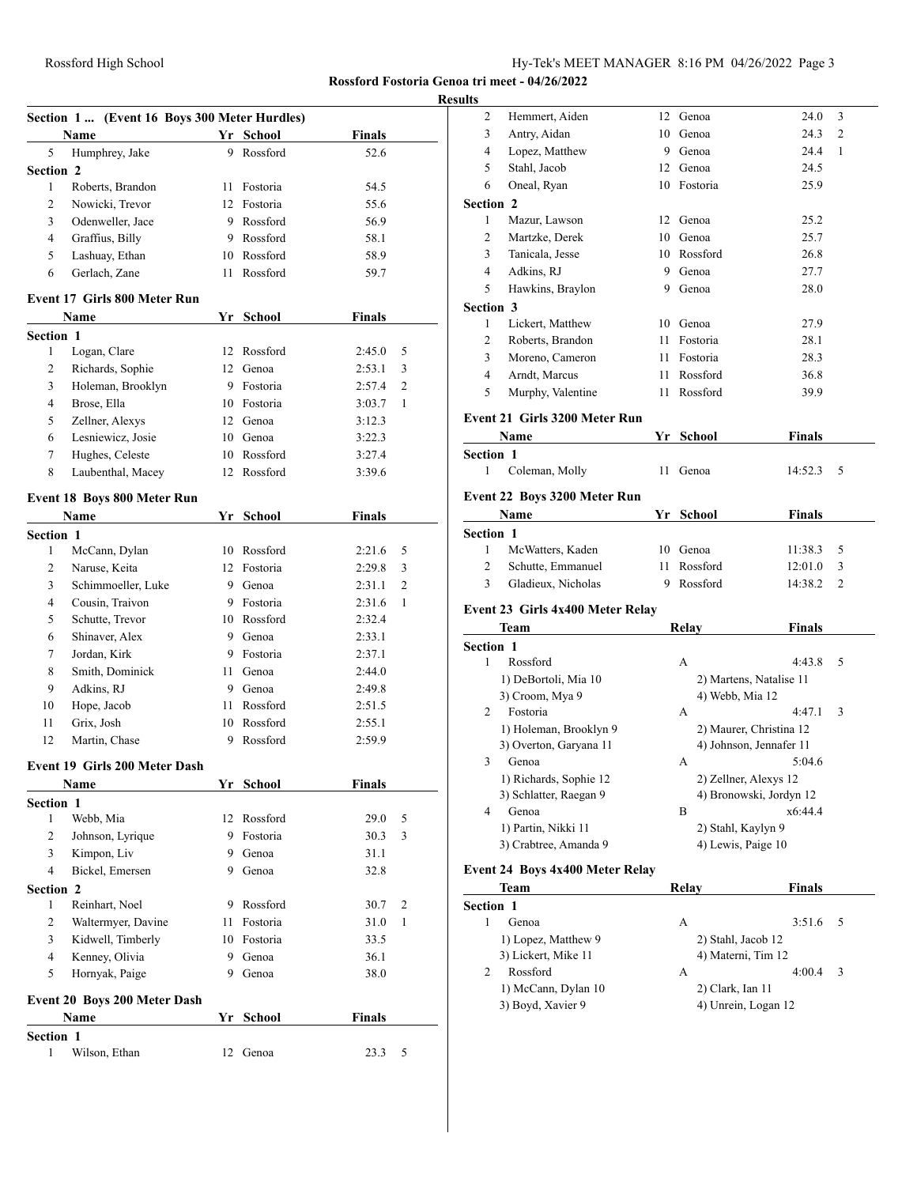# **Resu**

| Section 1 (Event 16 Boys 300 Meter Hurdles) |                                      |                 |             |                  |        |  |  |  |
|---------------------------------------------|--------------------------------------|-----------------|-------------|------------------|--------|--|--|--|
|                                             | Name                                 |                 | Yr School   | <b>Finals</b>    |        |  |  |  |
| 5                                           | Humphrey, Jake                       |                 | 9 Rossford  | 52.6             |        |  |  |  |
| <b>Section 2</b>                            |                                      |                 |             |                  |        |  |  |  |
| 1                                           | Roberts, Brandon                     | 11              | Fostoria    | 54.5             |        |  |  |  |
| 2                                           | Nowicki, Trevor                      |                 | 12 Fostoria | 55.6             |        |  |  |  |
| 3                                           | Odenweller, Jace                     |                 | 9 Rossford  | 56.9             |        |  |  |  |
| $\overline{4}$                              | Graffius, Billy                      |                 | 9 Rossford  | 58.1             |        |  |  |  |
| 5                                           | Lashuay, Ethan                       |                 | 10 Rossford | 58.9             |        |  |  |  |
| 6                                           | Gerlach, Zane                        | 11              | Rossford    | 59.7             |        |  |  |  |
|                                             | Event 17 Girls 800 Meter Run         |                 |             |                  |        |  |  |  |
|                                             | Name                                 |                 | Yr School   | Finals           |        |  |  |  |
| <b>Section 1</b>                            |                                      |                 |             |                  |        |  |  |  |
| 1                                           | Logan, Clare                         | 12              | Rossford    | 2:45.0           | 5      |  |  |  |
| 2                                           | Richards, Sophie                     | 12              | Genoa       | 2:53.1           | 3      |  |  |  |
| 3                                           | Holeman, Brooklyn                    |                 | 9 Fostoria  | 2:57.4           | 2      |  |  |  |
| $\overline{4}$                              | Brose, Ella                          |                 | 10 Fostoria | 3:03.7           | 1      |  |  |  |
| 5                                           | Zellner, Alexys                      | 12              | Genoa       | 3:12.3           |        |  |  |  |
| 6                                           | Lesniewicz, Josie                    | 10              | Genoa       | 3:22.3           |        |  |  |  |
| 7                                           | Hughes, Celeste                      |                 | 10 Rossford | 3:27.4           |        |  |  |  |
| 8                                           | Laubenthal, Macey                    |                 | 12 Rossford | 3:39.6           |        |  |  |  |
|                                             |                                      |                 |             |                  |        |  |  |  |
|                                             | Event 18 Boys 800 Meter Run          |                 |             |                  |        |  |  |  |
|                                             | <b>Name</b>                          |                 | Yr School   | <b>Finals</b>    |        |  |  |  |
| <b>Section 1</b>                            |                                      |                 | 10 Rossford |                  |        |  |  |  |
| 1<br>$\overline{2}$                         | McCann, Dylan<br>Naruse, Keita       | 12 <sup>7</sup> | Fostoria    | 2:21.6           | 5      |  |  |  |
| 3                                           | Schimmoeller, Luke                   |                 | 9 Genoa     | 2:29.8<br>2:31.1 | 3<br>2 |  |  |  |
| 4                                           | Cousin, Traivon                      |                 | 9 Fostoria  | 2:31.6           | 1      |  |  |  |
| 5                                           | Schutte, Trevor                      |                 | 10 Rossford | 2:32.4           |        |  |  |  |
| 6                                           | Shinaver, Alex                       | 9               | Genoa       | 2:33.1           |        |  |  |  |
| 7                                           | Jordan, Kirk                         | 9               | Fostoria    | 2:37.1           |        |  |  |  |
| 8                                           | Smith, Dominick                      | 11              | Genoa       | 2:44.0           |        |  |  |  |
| 9                                           | Adkins, RJ                           | 9               | Genoa       | 2:49.8           |        |  |  |  |
| 10                                          | Hope, Jacob                          | 11              | Rossford    | 2:51.5           |        |  |  |  |
| 11                                          | Grix. Josh                           |                 | 10 Rossford | 2:55.1           |        |  |  |  |
| 12                                          | Martin, Chase                        | 9               | Rossford    | 2:59.9           |        |  |  |  |
|                                             |                                      |                 |             |                  |        |  |  |  |
|                                             | <b>Event 19 Girls 200 Meter Dash</b> |                 |             |                  |        |  |  |  |
|                                             | <b>Name</b>                          |                 | Yr School   | Finals           |        |  |  |  |
| <b>Section 1</b>                            |                                      |                 |             |                  |        |  |  |  |
| 1                                           | Webb, Mia                            | 12              | Rossford    | 29.0             | 5      |  |  |  |
| 2                                           | Johnson, Lyrique                     | 9.              | Fostoria    | 30.3             | 3      |  |  |  |
| 3                                           | Kimpon, Liv                          | 9.              | Genoa       | 31.1             |        |  |  |  |
| $\overline{4}$                              | Bickel, Emersen                      | 9               | Genoa       | 32.8             |        |  |  |  |
| <b>Section 2</b>                            |                                      |                 |             |                  |        |  |  |  |
| 1                                           | Reinhart, Noel                       |                 | 9 Rossford  | 30.7             | 2      |  |  |  |
| 2                                           | Waltermyer, Davine                   | 11              | Fostoria    | 31.0             | 1      |  |  |  |
| 3                                           | Kidwell, Timberly                    |                 | 10 Fostoria | 33.5             |        |  |  |  |
| $\overline{4}$<br>5                         | Kenney, Olivia                       | 9               | 9 Genoa     | 36.1             |        |  |  |  |
|                                             | Hornyak, Paige                       |                 | Genoa       | 38.0             |        |  |  |  |
|                                             | Event 20 Boys 200 Meter Dash         |                 |             |                  |        |  |  |  |
|                                             | Name                                 |                 | Yr School   | <b>Finals</b>    |        |  |  |  |
| Section 1                                   |                                      |                 |             |                  |        |  |  |  |
| 1                                           | Wilson, Ethan                        | 12              | Genoa       | 23.3             | 5      |  |  |  |
|                                             |                                      |                 |             |                  |        |  |  |  |

| 2                | Hemmert, Aiden                      |    | 12 Genoa              | 24.0                    | 3              |
|------------------|-------------------------------------|----|-----------------------|-------------------------|----------------|
| 3                | Antry, Aidan                        | 10 | Genoa                 | 24.3                    | $\overline{2}$ |
| 4                | Lopez, Matthew                      |    | 9 Genoa               | 24.4                    | 1              |
| 5                | Stahl, Jacob                        |    | 12 Genoa              | 24.5                    |                |
| 6                | Oneal, Ryan                         |    | 10 Fostoria           | 25.9                    |                |
| <b>Section 2</b> |                                     |    |                       |                         |                |
| 1                | Mazur, Lawson                       | 12 | Genoa                 | 25.2                    |                |
| 2                | Martzke, Derek                      | 10 | Genoa                 | 25.7                    |                |
| 3                | Tanicala, Jesse                     | 10 | Rossford              | 26.8                    |                |
| 4                | Adkins, RJ                          | 9  | Genoa                 | 27.7                    |                |
| 5                | Hawkins, Braylon                    | 9  | Genoa                 | 28.0                    |                |
| <b>Section 3</b> |                                     |    |                       |                         |                |
| 1                | Lickert, Matthew                    |    | 10 Genoa              | 27.9                    |                |
| $\overline{c}$   | Roberts, Brandon                    | 11 | Fostoria              | 28.1                    |                |
| 3                | Moreno, Cameron                     | 11 | Fostoria              | 28.3                    |                |
| 4                | Arndt, Marcus                       | 11 | Rossford              | 36.8                    |                |
| 5                | Murphy, Valentine                   | 11 | Rossford              | 39.9                    |                |
|                  |                                     |    |                       |                         |                |
|                  | Event 21 Girls 3200 Meter Run       |    |                       |                         |                |
|                  | Name                                |    | Yr School             | <b>Finals</b>           |                |
| <b>Section 1</b> |                                     |    |                       |                         |                |
| 1                | Coleman, Molly                      | 11 | Genoa                 | 14:52.3                 | 5              |
|                  | <b>Event 22 Boys 3200 Meter Run</b> |    |                       |                         |                |
|                  | Name                                |    | Yr School             | <b>Finals</b>           |                |
| Section 1        |                                     |    |                       |                         |                |
| 1                | McWatters, Kaden                    | 10 | Genoa                 | 11:38.3                 | 5              |
|                  |                                     |    |                       |                         |                |
| 2                | Schutte, Emmanuel                   | 11 | Rossford              | 12:01.0                 | 3              |
| 3                | Gladieux, Nicholas                  | 9  | Rossford              | 14:38.2                 | 2              |
|                  |                                     |    |                       |                         |                |
|                  | Event 23 Girls 4x400 Meter Relay    |    |                       |                         |                |
|                  | Team                                |    | Relay                 | Finals                  |                |
| <b>Section 1</b> |                                     |    |                       |                         |                |
| 1                | Rossford                            |    | А                     | 4:43.8                  | 5              |
|                  | 1) DeBortoli, Mia 10                |    |                       | 2) Martens, Natalise 11 |                |
|                  | 3) Croom, Mya 9                     |    | 4) Webb, Mia 12       |                         |                |
| 2                | Fostoria                            |    | A                     | 4:47.1                  | 3              |
|                  | 1) Holeman, Brooklyn 9              |    |                       | 2) Maurer, Christina 12 |                |
|                  | 3) Overton, Garyana 11              |    |                       | 4) Johnson, Jennafer 11 |                |
|                  | 3 Genoa                             |    |                       | 5:04.6                  |                |
|                  | 1) Richards, Sophie 12              |    | 2) Zellner, Alexys 12 |                         |                |
|                  | 3) Schlatter, Raegan 9              |    |                       | 4) Bronowski, Jordyn 12 |                |
| 4                | Genoa                               |    | B                     | x6:44.4                 |                |
|                  | 1) Partin, Nikki 11                 |    | 2) Stahl, Kaylyn 9    |                         |                |
|                  | 3) Crabtree, Amanda 9               |    | 4) Lewis, Paige 10    |                         |                |
|                  | Event 24 Boys 4x400 Meter Relay     |    |                       |                         |                |
|                  | Team                                |    | Relay                 | <b>Finals</b>           |                |
| <b>Section 1</b> |                                     |    |                       |                         |                |
| 1                | Genoa                               |    | A                     | 3:51.6                  | 5              |
|                  | 1) Lopez, Matthew 9                 |    | 2) Stahl, Jacob 12    |                         |                |
|                  | 3) Lickert, Mike 11                 |    | 4) Materni, Tim 12    |                         |                |
| 2                | Rossford                            |    | A                     | 4:00.4                  | 3              |
|                  | 1) McCann, Dylan 10                 |    | 2) Clark, Ian 11      |                         |                |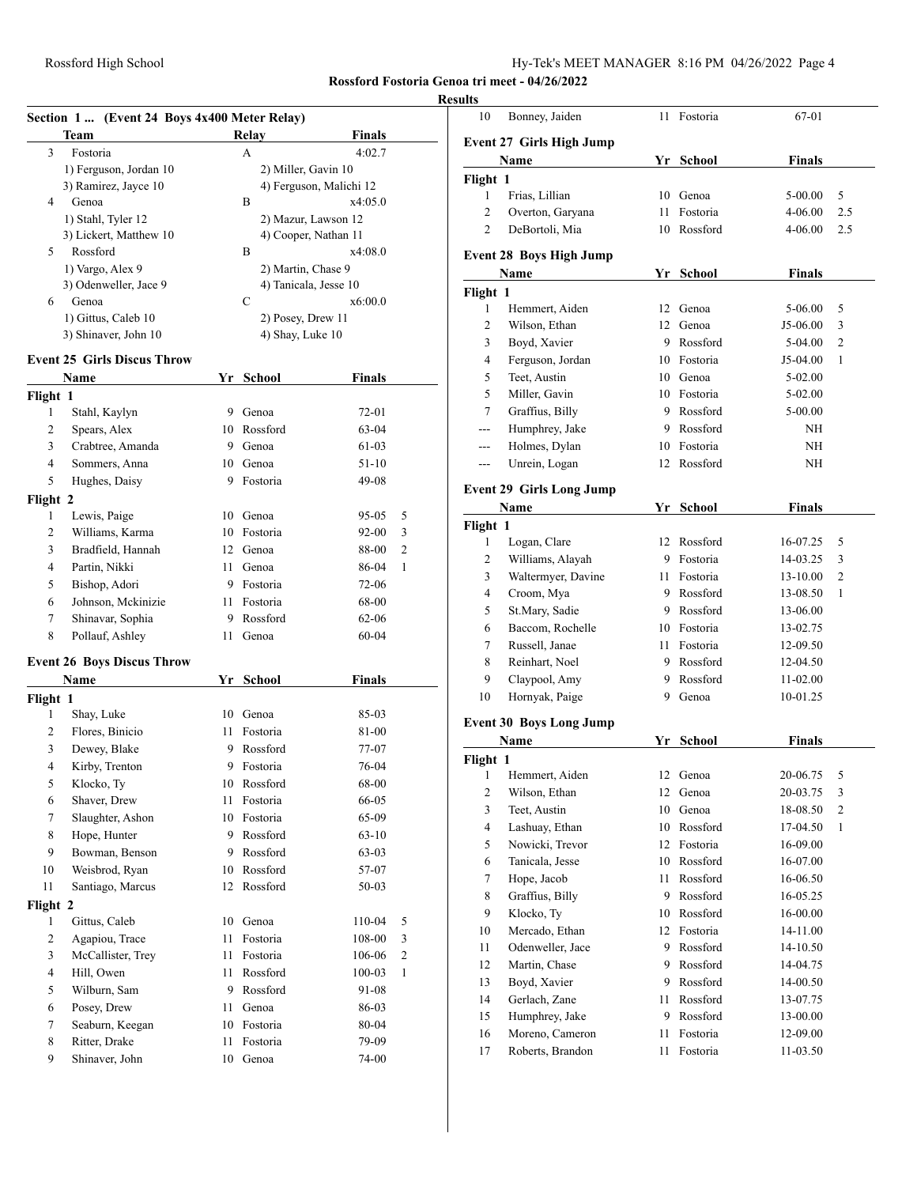# **Results**

| Section 1  (Event 24 Boys 4x400 Meter Relay) |                                           |      |                    |                         |              |
|----------------------------------------------|-------------------------------------------|------|--------------------|-------------------------|--------------|
|                                              | Team                                      |      | <b>Relay</b>       | Finals                  |              |
| 3                                            | Fostoria                                  |      | A                  | 4:02.7                  |              |
|                                              | 1) Ferguson, Jordan 10                    |      |                    | 2) Miller, Gavin 10     |              |
|                                              | 3) Ramirez, Jayce 10                      |      |                    | 4) Ferguson, Malichi 12 |              |
| 4                                            | Genoa                                     |      | B                  | x4:05.0                 |              |
|                                              | 1) Stahl, Tyler 12                        |      |                    | 2) Mazur, Lawson 12     |              |
|                                              | 3) Lickert, Matthew 10                    |      |                    | 4) Cooper, Nathan 11    |              |
| 5                                            | Rossford                                  |      | B                  | x4:08.0                 |              |
|                                              | 1) Vargo, Alex 9<br>3) Odenweller, Jace 9 |      | 2) Martin, Chase 9 | 4) Tanicala, Jesse 10   |              |
| 6                                            | Genoa                                     |      | C                  | x6:00.0                 |              |
|                                              | 1) Gittus, Caleb 10                       |      | 2) Posey, Drew 11  |                         |              |
|                                              | 3) Shinaver, John 10                      |      | 4) Shay, Luke 10   |                         |              |
|                                              | <b>Event 25 Girls Discus Throw</b>        |      |                    |                         |              |
|                                              | Name                                      |      | Yr School          | Finals                  |              |
| Flight 1                                     |                                           |      |                    |                         |              |
| 1                                            | Stahl, Kaylyn                             | 9    | Genoa              | 72-01                   |              |
| 2                                            | Spears, Alex                              |      | 10 Rossford        | 63-04                   |              |
| 3                                            | Crabtree, Amanda                          |      | 9 Genoa            | 61-03                   |              |
| $\overline{4}$                               | Sommers, Anna                             |      | 10 Genoa           | 51-10                   |              |
| 5                                            | Hughes, Daisy                             |      | 9 Fostoria         | 49-08                   |              |
| Flight 2                                     |                                           |      |                    |                         |              |
| 1                                            | Lewis, Paige                              |      | 10 Genoa           | 95-05                   | 5            |
| 2                                            | Williams, Karma                           |      | 10 Fostoria        | 92-00                   | 3            |
| 3                                            | Bradfield, Hannah                         |      | 12 Genoa           | 88-00                   | 2            |
| 4                                            | Partin, Nikki                             | 11 - | Genoa              | 86-04                   | 1            |
| 5                                            | Bishop, Adori                             |      | 9 Fostoria         | 72-06                   |              |
| 6                                            | Johnson, Mckinizie                        | 11 - | Fostoria           | 68-00                   |              |
| 7                                            | Shinavar, Sophia                          | 9.   | Rossford           | 62-06                   |              |
| 8                                            | Pollauf, Ashley                           | 11   | Genoa              | 60-04                   |              |
|                                              | <b>Event 26 Boys Discus Throw</b>         |      |                    |                         |              |
|                                              | Name                                      |      | Yr School          | <b>Finals</b>           |              |
| Flight 1                                     |                                           |      |                    |                         |              |
| 1                                            | Shay, Luke                                |      | 10 Genoa           | 85-03                   |              |
| 2                                            | Flores, Binicio                           | 11.  | Fostoria           | 81-00                   |              |
| 3                                            | Dewey, Blake                              |      | 9 Rossford         | 77-07                   |              |
| 4                                            | Kirby, Trenton                            | 9.   | Fostoria           | 76-04                   |              |
| 5                                            | Klocko, Ty                                |      | 10 Rossford        | 68-00                   |              |
| 6                                            | Shaver, Drew                              | 11   | Fostoria           | 66-05                   |              |
| 7                                            | Slaughter, Ashon                          | 10   | Fostoria           | 65-09                   |              |
| 8                                            | Hope, Hunter                              | 9    | Rossford           | 63-10                   |              |
| 9                                            | Bowman, Benson                            | 9.   | Rossford           | 63-03                   |              |
| 10                                           | Weisbrod, Ryan                            | 10   | Rossford           | 57-07                   |              |
| 11                                           | Santiago, Marcus                          | 12   | Rossford           | 50-03                   |              |
| Flight 2                                     |                                           |      |                    |                         |              |
| 1                                            | Gittus, Caleb                             |      | 10 Genoa           | 110-04                  | 5            |
| $\mathbf{2}$                                 | Agapiou, Trace                            | 11   | Fostoria           | 108-00                  | 3            |
| 3                                            | McCallister, Trey                         | 11   | Fostoria           | 106-06                  | $\mathbf{2}$ |
| 4                                            | Hill, Owen                                | 11   | Rossford           | $100 - 03$              | 1            |
| 5                                            | Wilburn, Sam                              |      | 9 Rossford         | 91-08                   |              |
| 6                                            | Posey, Drew                               | 11   | Genoa              | 86-03                   |              |
| 7                                            | Seaburn, Keegan                           | 10   | Fostoria           | 80-04                   |              |
| 8<br>9                                       | Ritter, Drake<br>Shinaver, John           | 11   | Fostoria           | 79-09                   |              |
|                                              |                                           | 10   | Genoa              | 74-00                   |              |

| 10                              | Bonney, Jaiden                  | 11   | Fostoria      | 67-01         |                |  |
|---------------------------------|---------------------------------|------|---------------|---------------|----------------|--|
|                                 |                                 |      |               |               |                |  |
| <b>Event 27 Girls High Jump</b> |                                 |      |               |               |                |  |
|                                 | Name                            |      | Yr School     | Finals        |                |  |
| Flight 1                        |                                 |      |               |               |                |  |
| 1                               | Frias, Lillian                  | 10   | Genoa         | 5-00.00       | 5              |  |
| 2                               | Overton, Garyana                | 11   | Fostoria      | 4-06.00       | 2.5            |  |
| 2                               | DeBortoli, Mia                  | 10   | Rossford      | 4-06.00       | 2.5            |  |
|                                 |                                 |      |               |               |                |  |
|                                 | <b>Event 28 Boys High Jump</b>  |      |               |               |                |  |
|                                 | Name                            | Yr   | <b>School</b> | <b>Finals</b> |                |  |
| Flight 1                        |                                 |      |               |               |                |  |
| 1                               | Hemmert, Aiden                  | 12   | Genoa         | 5-06.00       | 5              |  |
| 2                               | Wilson, Ethan                   |      | 12 Genoa      | J5-06.00      | 3              |  |
| 3                               | Boyd, Xavier                    | 9    | Rossford      | 5-04.00       | $\overline{c}$ |  |
| 4                               | Ferguson, Jordan                |      | 10 Fostoria   | J5-04.00      | $\mathbf{1}$   |  |
| 5                               | Teet, Austin                    |      | 10 Genoa      | 5-02.00       |                |  |
| 5                               | Miller, Gavin                   |      | 10 Fostoria   | $5-02.00$     |                |  |
| 7                               | Graffius, Billy                 | 9    | Rossford      | 5-00.00       |                |  |
| $-$ --                          | Humphrey, Jake                  | 9.   | Rossford      | ΝH            |                |  |
| ---                             | Holmes, Dylan                   | 10   | Fostoria      | ΝH            |                |  |
| ---                             | Unrein, Logan                   | 12   | Rossford      | NH            |                |  |
|                                 | <b>Event 29 Girls Long Jump</b> |      |               |               |                |  |
|                                 |                                 |      |               |               |                |  |
|                                 | Name                            | Yr   | School        | Finals        |                |  |
| Flight 1                        |                                 |      |               |               |                |  |
| 1                               | Logan, Clare                    |      | 12 Rossford   | 16-07.25      | 5              |  |
| 2                               | Williams, Alayah                |      | 9 Fostoria    | 14-03.25      | 3              |  |
| 3                               | Waltermyer, Davine              |      | 11 Fostoria   | 13-10.00      | $\overline{c}$ |  |
| 4                               | Croom, Mya                      | 9    | Rossford      | 13-08.50      | $\mathbf{1}$   |  |
| 5                               | St.Mary, Sadie                  | 9    | Rossford      | 13-06.00      |                |  |
| 6                               | Baccom, Rochelle                |      | 10 Fostoria   | 13-02.75      |                |  |
| 7                               | Russell, Janae                  | 11 - | Fostoria      | 12-09.50      |                |  |
| 8                               | Reinhart, Noel                  |      | 9 Rossford    | 12-04.50      |                |  |
| 9                               | Claypool, Amy                   | 9.   | Rossford      | 11-02.00      |                |  |
| 10                              | Hornyak, Paige                  | 9    | Genoa         | 10-01.25      |                |  |
|                                 | <b>Event 30 Boys Long Jump</b>  |      |               |               |                |  |
|                                 | Name                            |      | Yr School     | Finals        |                |  |
| Flight 1                        |                                 |      |               |               |                |  |
| $\mathbf{1}$                    | Hemmert, Aiden                  |      | 12 Genoa      | 20-06.75      | 5              |  |
| 2                               | Wilson, Ethan                   |      | 12 Genoa      | 20-03.75      | $\sqrt{3}$     |  |
| 3                               | Teet, Austin                    | 10   | Genoa         | 18-08.50      | $\sqrt{2}$     |  |
| $\overline{4}$                  | Lashuay, Ethan                  | 10   | Rossford      | 17-04.50      | $\mathbf{1}$   |  |
| 5                               | Nowicki, Trevor                 | 12   | Fostoria      | 16-09.00      |                |  |
| 6                               | Tanicala, Jesse                 | 10   | Rossford      | 16-07.00      |                |  |
| 7                               | Hope, Jacob                     | 11   | Rossford      | 16-06.50      |                |  |
| 8                               | Graffius, Billy                 | 9    | Rossford      | 16-05.25      |                |  |
| 9                               | Klocko, Ty                      | 10   | Rossford      | 16-00.00      |                |  |
| $10\,$                          | Mercado, Ethan                  |      | 12 Fostoria   | 14-11.00      |                |  |
| 11                              | Odenweller, Jace                | 9    | Rossford      | 14-10.50      |                |  |
|                                 |                                 |      |               | 14-04.75      |                |  |
| 12                              | Martin, Chase                   | 9    | Rossford      |               |                |  |
| 13                              | Boyd, Xavier                    | 9.   | Rossford      | 14-00.50      |                |  |
| 14                              | Gerlach, Zane                   | 11   | Rossford      | 13-07.75      |                |  |
| 15                              | Humphrey, Jake                  | 9    | Rossford      | 13-00.00      |                |  |
| 16                              | Moreno, Cameron                 | 11   | Fostoria      | 12-09.00      |                |  |
| 17                              | Roberts, Brandon                | 11   | Fostoria      | 11-03.50      |                |  |
|                                 |                                 |      |               |               |                |  |